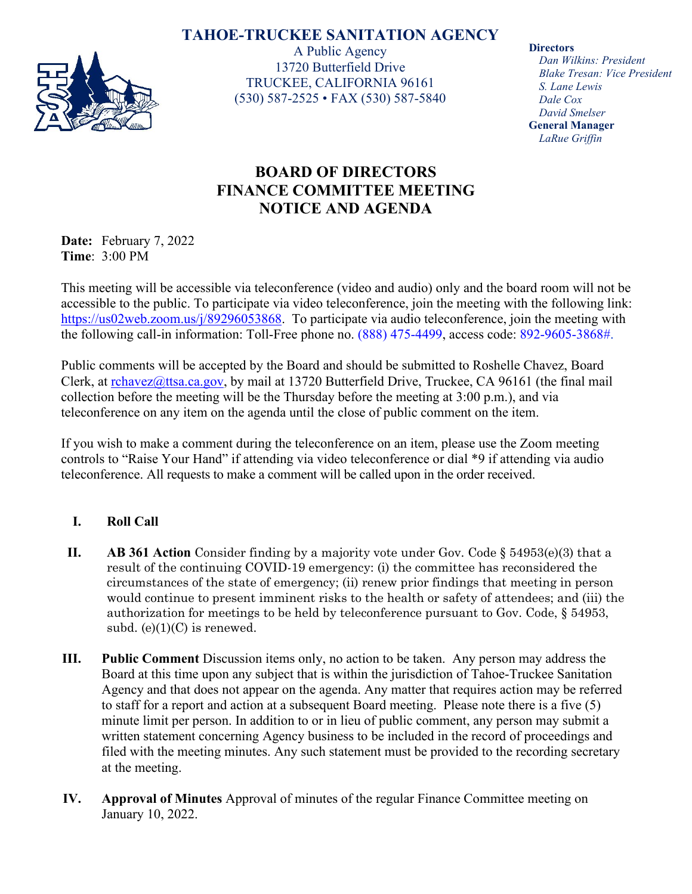## **TAHOE-TRUCKEE SANITATION AGENCY**



A Public Agency 13720 Butterfield Drive TRUCKEE, CALIFORNIA 96161 (530) 587-2525 • FAX (530) 587-5840 **Directors**

*Dan Wilkins: President Blake Tresan: Vice President S. Lane Lewis Dale Cox David Smelser* **General Manager** *LaRue Griffin*

## **BOARD OF DIRECTORS FINANCE COMMITTEE MEETING NOTICE AND AGENDA**

**Date:** February 7, 2022 **Time**: 3:00 PM

This meeting will be accessible via teleconference (video and audio) only and the board room will not be accessible to the public. To participate via video teleconference, join the meeting with the following link: [https://us02web.zoom.us/j/89296053868.](https://us02web.zoom.us/j/89296053868) To participate via audio teleconference, join the meeting with the following call-in information: Toll-Free phone no. (888) 475-4499, access code: 892-9605-3868#.

Public comments will be accepted by the Board and should be submitted to Roshelle Chavez, Board Clerk, at [rchavez@ttsa.ca.gov,](mailto:rchavez@ttsa.ca.gov) by mail at 13720 Butterfield Drive, Truckee, CA 96161 (the final mail collection before the meeting will be the Thursday before the meeting at 3:00 p.m.), and via teleconference on any item on the agenda until the close of public comment on the item.

If you wish to make a comment during the teleconference on an item, please use the Zoom meeting controls to "Raise Your Hand" if attending via video teleconference or dial \*9 if attending via audio teleconference. All requests to make a comment will be called upon in the order received.

## **I. Roll Call**

- **II. AB 361 Action** Consider finding by a majority vote under Gov. Code § 54953(e)(3) that a result of the continuing COVID-19 emergency: (i) the committee has reconsidered the circumstances of the state of emergency; (ii) renew prior findings that meeting in person would continue to present imminent risks to the health or safety of attendees; and (iii) the authorization for meetings to be held by teleconference pursuant to Gov. Code, § 54953, subd.  $(e)(1)(C)$  is renewed.
- **III. Public Comment** Discussion items only, no action to be taken. Any person may address the Board at this time upon any subject that is within the jurisdiction of Tahoe-Truckee Sanitation Agency and that does not appear on the agenda. Any matter that requires action may be referred to staff for a report and action at a subsequent Board meeting. Please note there is a five (5) minute limit per person. In addition to or in lieu of public comment, any person may submit a written statement concerning Agency business to be included in the record of proceedings and filed with the meeting minutes. Any such statement must be provided to the recording secretary at the meeting.
- **IV. Approval of Minutes** Approval of minutes of the regular Finance Committee meeting on January 10, 2022.